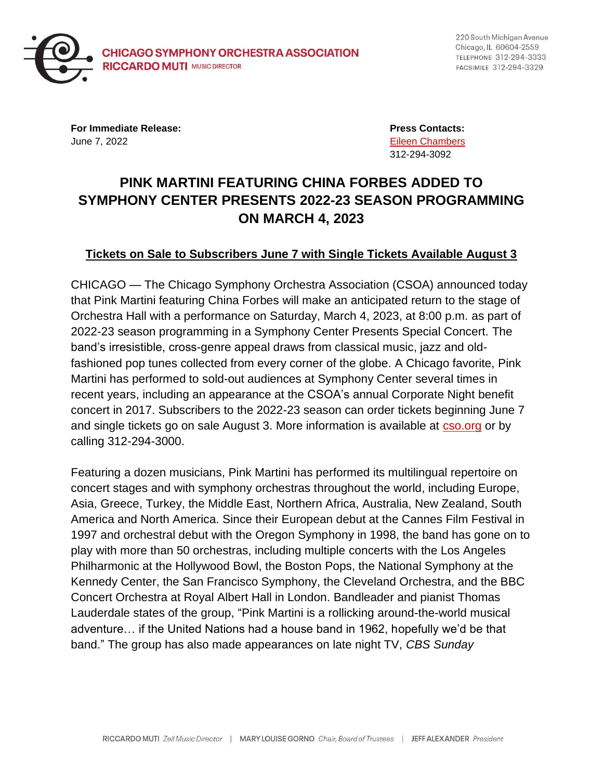

220 South Michigan Avenue Chicago, IL 60604-2559 TELEPHONE 312-294-3333 FACSIMILE 312-294-3329

**For Immediate Release: Press Contacts:** June 7, 2022 [Eileen Chambers](mailto:chamberse@cso.org)

312-294-3092

## **PINK MARTINI FEATURING CHINA FORBES ADDED TO SYMPHONY CENTER PRESENTS 2022-23 SEASON PROGRAMMING ON MARCH 4, 2023**

## **Tickets on Sale to Subscribers June 7 with Single Tickets Available August 3**

CHICAGO — The Chicago Symphony Orchestra Association (CSOA) announced today that Pink Martini featuring China Forbes will make an anticipated return to the stage of Orchestra Hall with a performance on Saturday, March 4, 2023, at 8:00 p.m. as part of 2022-23 season programming in a Symphony Center Presents Special Concert. The band's irresistible, cross-genre appeal draws from classical music, jazz and oldfashioned pop tunes collected from every corner of the globe. A Chicago favorite, Pink Martini has performed to sold-out audiences at Symphony Center several times in recent years, including an appearance at the CSOA's annual Corporate Night benefit concert in 2017. Subscribers to the 2022-23 season can order tickets beginning June 7 and single tickets go on sale August 3. More information is available at [cso.org](https://cso.org/) or by calling 312-294-3000.

Featuring a dozen musicians, Pink Martini has performed its multilingual repertoire on concert stages and with symphony orchestras throughout the world, including Europe, Asia, Greece, Turkey, the Middle East, Northern Africa, Australia, New Zealand, South America and North America. Since their European debut at the Cannes Film Festival in 1997 and orchestral debut with the Oregon Symphony in 1998, the band has gone on to play with more than 50 orchestras, including multiple concerts with the Los Angeles Philharmonic at the Hollywood Bowl, the Boston Pops, the National Symphony at the Kennedy Center, the San Francisco Symphony, the Cleveland Orchestra, and the BBC Concert Orchestra at Royal Albert Hall in London. Bandleader and pianist Thomas Lauderdale states of the group, "Pink Martini is a rollicking around-the-world musical adventure… if the United Nations had a house band in 1962, hopefully we'd be that band." The group has also made appearances on late night TV, *CBS Sunday*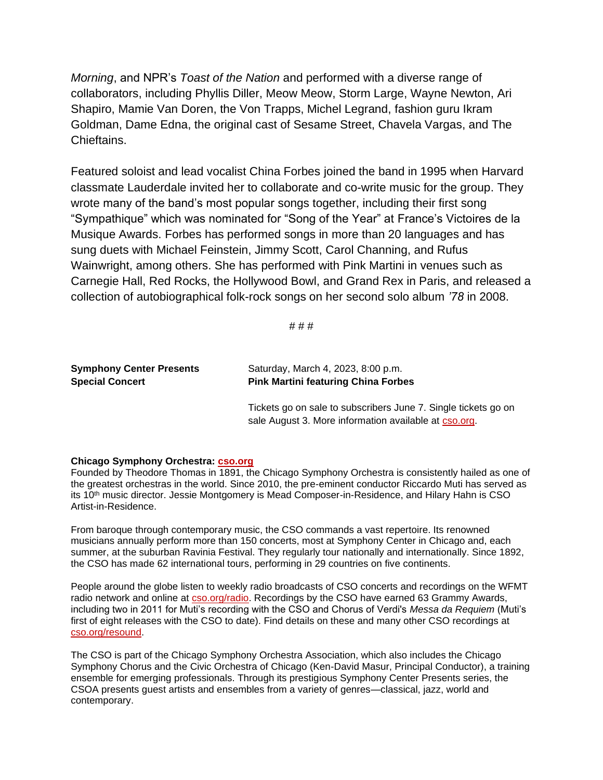*Morning*, and NPR's *Toast of the Nation* and performed with a diverse range of collaborators, including Phyllis Diller, Meow Meow, Storm Large, Wayne Newton, Ari Shapiro, Mamie Van Doren, the Von Trapps, Michel Legrand, fashion guru Ikram Goldman, Dame Edna, the original cast of Sesame Street, Chavela Vargas, and The Chieftains.

Featured soloist and lead vocalist China Forbes joined the band in 1995 when Harvard classmate Lauderdale invited her to collaborate and co-write music for the group. They wrote many of the band's most popular songs together, including their first song "Sympathique" which was nominated for "Song of the Year" at France's Victoires de la Musique Awards. Forbes has performed songs in more than 20 languages and has sung duets with Michael Feinstein, Jimmy Scott, Carol Channing, and Rufus Wainwright, among others. She has performed with Pink Martini in venues such as Carnegie Hall, Red Rocks, the Hollywood Bowl, and Grand Rex in Paris, and released a collection of autobiographical folk-rock songs on her second solo album *'78* in 2008.

# # #

| <b>Symphony Center Presents</b> | Saturday, March 4, 2023, 8:00 p.m.                             |
|---------------------------------|----------------------------------------------------------------|
| <b>Special Concert</b>          | <b>Pink Martini featuring China Forbes</b>                     |
|                                 | Tickets go on sale to subscribers June 7. Single tickets go on |
|                                 | sale August 3. More information available at cso.org.          |

## **Chicago Symphony Orchestra: [cso.org](http://cso.org/)**

Founded by Theodore Thomas in 1891, the Chicago Symphony Orchestra is consistently hailed as one of the greatest orchestras in the world. Since 2010, the pre-eminent conductor Riccardo Muti has served as its 10<sup>th</sup> music director. Jessie Montgomery is Mead Composer-in-Residence, and Hilary Hahn is CSO Artist-in-Residence.

From baroque through contemporary music, the CSO commands a vast repertoire. Its renowned musicians annually perform more than 150 concerts, most at Symphony Center in Chicago and, each summer, at the suburban Ravinia Festival. They regularly tour nationally and internationally. Since 1892, the CSO has made 62 international tours, performing in 29 countries on five continents.

People around the globe listen to weekly radio broadcasts of CSO concerts and recordings on the WFMT radio network and online at [cso.org/radio.](https://cso.org/radio) Recordings by the CSO have earned 63 Grammy Awards, including two in 2011 for Muti's recording with the CSO and Chorus of Verdi's *Messa da Requiem* (Muti's first of eight releases with the CSO to date). Find details on these and many other CSO recordings at [cso.org/resound.](http://www.cso.org/resound)

The CSO is part of the Chicago Symphony Orchestra Association, which also includes the Chicago Symphony Chorus and the Civic Orchestra of Chicago (Ken-David Masur, Principal Conductor), a training ensemble for emerging professionals. Through its prestigious Symphony Center Presents series, the CSOA presents guest artists and ensembles from a variety of genres—classical, jazz, world and contemporary.